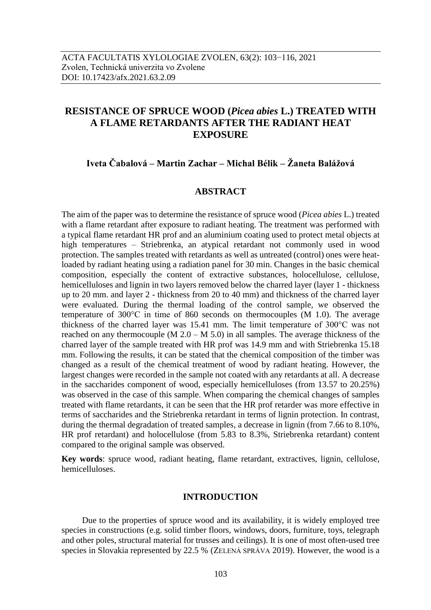# **RESISTANCE OF SPRUCE WOOD (***Picea abies* **L.) TREATED WITH A FLAME RETARDANTS AFTER THE RADIANT HEAT EXPOSURE**

**Iveta Čabalová – Martin Zachar – Michal Bélik – Žaneta Balážová**

# **ABSTRACT**

The aim of the paper was to determine the resistance of spruce wood (*Picea abies* L.) treated with a flame retardant after exposure to radiant heating. The treatment was performed with a typical flame retardant HR prof and an aluminium coating used to protect metal objects at high temperatures – Striebrenka, an atypical retardant not commonly used in wood protection. The samples treated with retardants as well as untreated (control) ones were heatloaded by radiant heating using a radiation panel for 30 min. Changes in the basic chemical composition, especially the content of extractive substances, holocellulose, cellulose, hemicelluloses and lignin in two layers removed below the charred layer (layer 1 - thickness up to 20 mm. and layer 2 - thickness from 20 to 40 mm) and thickness of the charred layer were evaluated. During the thermal loading of the control sample, we observed the temperature of 300°C in time of 860 seconds on thermocouples (M 1.0). The average thickness of the charred layer was 15.41 mm. The limit temperature of 300°C was not reached on any thermocouple (M  $2.0 - M 5.0$ ) in all samples. The average thickness of the charred layer of the sample treated with HR prof was 14.9 mm and with Striebrenka 15.18 mm. Following the results, it can be stated that the chemical composition of the timber was changed as a result of the chemical treatment of wood by radiant heating. However, the largest changes were recorded in the sample not coated with any retardants at all. A decrease in the saccharides component of wood, especially hemicelluloses (from 13.57 to 20.25%) was observed in the case of this sample. When comparing the chemical changes of samples treated with flame retardants, it can be seen that the HR prof retarder was more effective in terms of saccharides and the Striebrenka retardant in terms of lignin protection. In contrast, during the thermal degradation of treated samples, a decrease in lignin (from 7.66 to 8.10%, HR prof retardant) and holocellulose (from 5.83 to 8.3%, Striebrenka retardant) content compared to the original sample was observed.

**Key words**: spruce wood, radiant heating, flame retardant, extractives, lignin, cellulose, hemicelluloses.

# **INTRODUCTION**

Due to the properties of spruce wood and its availability, it is widely employed tree species in constructions (e.g. solid timber floors, windows, doors, furniture, toys, telegraph and other poles, structural material for trusses and ceilings). It is one of most often-used tree species in Slovakia represented by 22.5 % (ZELENÁ SPRÁVA 2019). However, the wood is a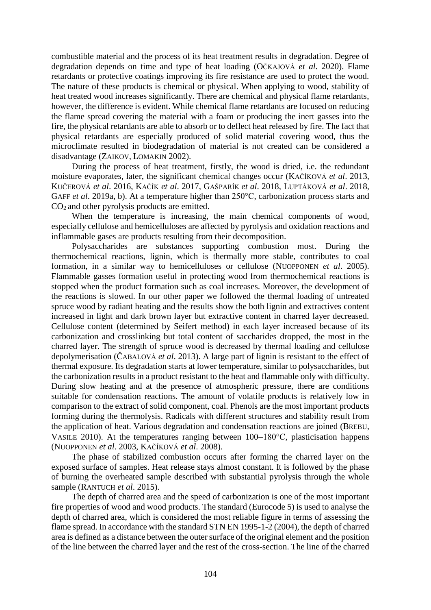combustible material and the process of its heat treatment results in degradation. Degree of degradation depends on time and type of heat loading (OČKAJOVÁ *et al.* 2020). Flame retardants or protective coatings improving its fire resistance are used to protect the wood. The nature of these products is chemical or physical. When applying to wood, stability of heat treated wood increases significantly. There are chemical and physical flame retardants, however, the difference is evident. While chemical flame retardants are focused on reducing the flame spread covering the material with a foam or producing the inert gasses into the fire, the physical retardants are able to absorb or to deflect heat released by fire. The fact that physical retardants are especially produced of solid material covering wood, thus the microclimate resulted in biodegradation of material is not created can be considered a disadvantage (ZAIKOV, LOMAKIN 2002).

During the process of heat treatment, firstly, the wood is dried, i.e. the redundant moisture evaporates, later, the significant chemical changes occur (KAČÍKOVÁ *et al*. 2013, KUČEROVÁ *et al*. 2016, KAČÍK *et al*. 2017, GAŠPARÍK *et al*. 2018, LUPTÁKOVÁ *et al*. 2018, GAFF *et al*. 2019a, b). At a temperature higher than 250°C, carbonization process starts and CO2 and other pyrolysis products are emitted.

When the temperature is increasing, the main chemical components of wood, especially cellulose and hemicelluloses are affected by pyrolysis and oxidation reactions and inflammable gases are products resulting from their decomposition.

Polysaccharides are substances supporting combustion most. During the thermochemical reactions, lignin, which is thermally more stable, contributes to coal formation, in a similar way to hemicelluloses or cellulose (NUOPPONEN *et al*. 2005). Flammable gasses formation useful in protecting wood from thermochemical reactions is stopped when the product formation such as coal increases. Moreover, the development of the reactions is slowed. In our other paper we followed the thermal loading of untreated spruce wood by radiant heating and the results show the both lignin and extractives content increased in light and dark brown layer but extractive content in charred layer decreased. Cellulose content (determined by Seifert method) in each layer increased because of its carbonization and crosslinking but total content of saccharides dropped, the most in the charred layer. The strength of spruce wood is decreased by thermal loading and cellulose depolymerisation (ČABALOVÁ *et al*. 2013). A large part of lignin is resistant to the effect of thermal exposure. Its degradation starts at lower temperature, similar to polysaccharides, but the carbonization results in a product resistant to the heat and flammable only with difficulty. During slow heating and at the presence of atmospheric pressure, there are conditions suitable for condensation reactions. The amount of volatile products is relatively low in comparison to the extract of solid component, coal. Phenols are the most important products forming during the thermolysis. Radicals with different structures and stability result from the application of heat. Various degradation and condensation reactions are joined (BREBU, VASILE 2010). At the temperatures ranging between  $100-180^{\circ}$ C, plasticisation happens (NUOPPONEN *et al*. 2003, KAČÍKOVÁ *et al*. 2008).

The phase of stabilized combustion occurs after forming the charred layer on the exposed surface of samples. Heat release stays almost constant. It is followed by the phase of burning the overheated sample described with substantial pyrolysis through the whole sample (RANTUCH *et al*. 2015).

The depth of charred area and the speed of carbonization is one of the most important fire properties of wood and wood products. The standard (Eurocode 5) is used to analyse the depth of charred area, which is considered the most reliable figure in terms of assessing the flame spread. In accordance with the standard STN EN 1995-1-2 (2004), the depth of charred area is defined as a distance between the outer surface of the original element and the position of the line between the charred layer and the rest of the cross-section. The line of the charred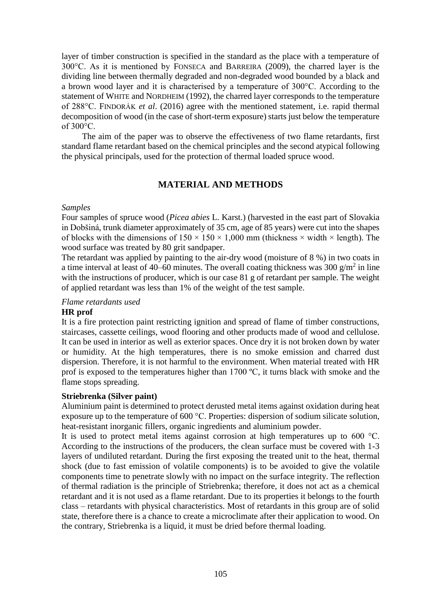layer of timber construction is specified in the standard as the place with a temperature of 300°C. As it is mentioned by FONSECA and BARREIRA (2009), the charred layer is the dividing line between thermally degraded and non-degraded wood bounded by a black and a brown wood layer and it is characterised by a temperature of 300°C. According to the statement of WHITE and NORDHEIM (1992), the charred layer corresponds to the temperature of 288°C. FINDORÁK *et al*. (2016) agree with the mentioned statement, i.e. rapid thermal decomposition of wood (in the case of short-term exposure) starts just below the temperature of 300°C.

The aim of the paper was to observe the effectiveness of two flame retardants, first standard flame retardant based on the chemical principles and the second atypical following the physical principals, used for the protection of thermal loaded spruce wood.

# **MATERIAL AND METHODS**

# *Samples*

Four samples of spruce wood (*Picea abies* L. Karst.) (harvested in the east part of Slovakia in Dobšiná, trunk diameter approximately of 35 cm, age of 85 years) were cut into the shapes of blocks with the dimensions of  $150 \times 150 \times 1,000$  mm (thickness  $\times$  width  $\times$  length). The wood surface was treated by 80 grit sandpaper.

The retardant was applied by painting to the air-dry wood (moisture of 8 %) in two coats in a time interval at least of 40–60 minutes. The overall coating thickness was 300  $g/m^2$  in line with the instructions of producer, which is our case 81 g of retardant per sample. The weight of applied retardant was less than 1% of the weight of the test sample.

# *Flame retardants used*

# **HR prof**

It is a fire protection paint restricting ignition and spread of flame of timber constructions, staircases, cassette ceilings, wood flooring and other products made of wood and cellulose. It can be used in interior as well as exterior spaces. Once dry it is not broken down by water or humidity. At the high temperatures, there is no smoke emission and charred dust dispersion. Therefore, it is not harmful to the environment. When material treated with HR prof is exposed to the temperatures higher than 1700 ºC, it turns black with smoke and the flame stops spreading.

# **Striebrenka (Silver paint)**

Aluminium paint is determined to protect derusted metal items against oxidation during heat exposure up to the temperature of 600 °C. Properties: dispersion of sodium silicate solution, heat-resistant inorganic fillers, organic ingredients and aluminium powder.

It is used to protect metal items against corrosion at high temperatures up to 600 °C. According to the instructions of the producers, the clean surface must be covered with 1-3 layers of undiluted retardant. During the first exposing the treated unit to the heat, thermal shock (due to fast emission of volatile components) is to be avoided to give the volatile components time to penetrate slowly with no impact on the surface integrity. The reflection of thermal radiation is the principle of Striebrenka; therefore, it does not act as a chemical retardant and it is not used as a flame retardant. Due to its properties it belongs to the fourth class – retardants with physical characteristics. Most of retardants in this group are of solid state, therefore there is a chance to create a microclimate after their application to wood. On the contrary, Striebrenka is a liquid, it must be dried before thermal loading.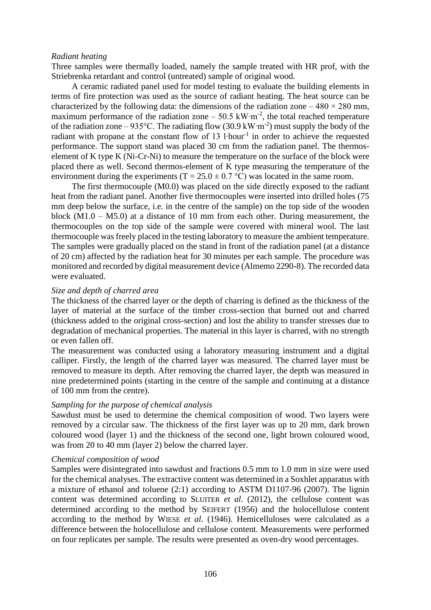#### *Radiant heating*

Three samples were thermally loaded, namely the sample treated with HR prof, with the Striebrenka retardant and control (untreated) sample of original wood.

A ceramic radiated panel used for model testing to evaluate the building elements in terms of fire protection was used as the source of radiant heating. The heat source can be characterized by the following data: the dimensions of the radiation zone  $-480 \times 280$  mm, maximum performance of the radiation zone – 50.5 kW⋅m<sup>-2</sup>, the total reached temperature of the radiation zone – 935°C. The radiating flow (30.9 kW⋅m<sup>-2</sup>) must supply the body of the radiant with propane at the constant flow of 13 l⋅hour<sup>-1</sup> in order to achieve the requested performance. The support stand was placed 30 cm from the radiation panel. The thermoselement of K type K (Ni-Cr-Ni) to measure the temperature on the surface of the block were placed there as well. Second thermos-element of K type measuring the temperature of the environment during the experiments (T = 25.0  $\pm$  0.7 °C) was located in the same room.

The first thermocouple (M0.0) was placed on the side directly exposed to the radiant heat from the radiant panel. Another five thermocouples were inserted into drilled holes (75 mm deep below the surface, i.e. in the centre of the sample) on the top side of the wooden block  $(M1.0 - M5.0)$  at a distance of 10 mm from each other. During measurement, the thermocouples on the top side of the sample were covered with mineral wool. The last thermocouple was freely placed in the testing laboratory to measure the ambient temperature. The samples were gradually placed on the stand in front of the radiation panel (at a distance of 20 cm) affected by the radiation heat for 30 minutes per each sample. The procedure was monitored and recorded by digital measurement device (Almemo 2290-8). The recorded data were evaluated.

## *Size and depth of charred area*

The thickness of the charred layer or the depth of charring is defined as the thickness of the layer of material at the surface of the timber cross-section that burned out and charred (thickness added to the original cross-section) and lost the ability to transfer stresses due to degradation of mechanical properties. The material in this layer is charred, with no strength or even fallen off.

The measurement was conducted using a laboratory measuring instrument and a digital calliper. Firstly, the length of the charred layer was measured. The charred layer must be removed to measure its depth. After removing the charred layer, the depth was measured in nine predetermined points (starting in the centre of the sample and continuing at a distance of 100 mm from the centre).

#### *Sampling for the purpose of chemical analysis*

Sawdust must be used to determine the chemical composition of wood. Two layers were removed by a circular saw. The thickness of the first layer was up to 20 mm, dark brown coloured wood (layer 1) and the thickness of the second one, light brown coloured wood, was from 20 to 40 mm (layer 2) below the charred layer.

#### *Chemical composition of wood*

Samples were disintegrated into sawdust and fractions 0.5 mm to 1.0 mm in size were used for the chemical analyses. The extractive content was determined in a Soxhlet apparatus with a mixture of ethanol and toluene (2:1) according to ASTM D1107-96 (2007). The lignin content was determined according to SLUITER *et al*. (2012), the cellulose content was determined according to the method by SEIFERT (1956) and the holocellulose content according to the method by WIESE *et al*. (1946). Hemicelluloses were calculated as a difference between the holocellulose and cellulose content. Measurements were performed on four replicates per sample. The results were presented as oven-dry wood percentages.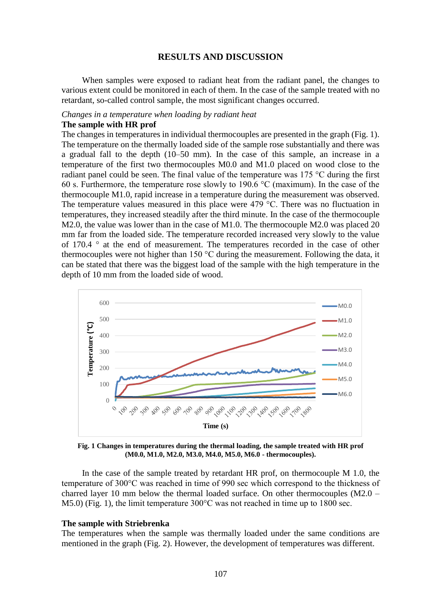# **RESULTS AND DISCUSSION**

When samples were exposed to radiant heat from the radiant panel, the changes to various extent could be monitored in each of them. In the case of the sample treated with no retardant, so-called control sample, the most significant changes occurred.

#### *Changes in a temperature when loading by radiant heat*

## **The sample with HR prof**

The changes in temperatures in individual thermocouples are presented in the graph (Fig. 1). The temperature on the thermally loaded side of the sample rose substantially and there was a gradual fall to the depth (10–50 mm). In the case of this sample, an increase in a temperature of the first two thermocouples M0.0 and M1.0 placed on wood close to the radiant panel could be seen. The final value of the temperature was 175 °C during the first 60 s. Furthermore, the temperature rose slowly to 190.6 °C (maximum). In the case of the thermocouple M1.0, rapid increase in a temperature during the measurement was observed. The temperature values measured in this place were 479 °C. There was no fluctuation in temperatures, they increased steadily after the third minute. In the case of the thermocouple M2.0, the value was lower than in the case of M1.0. The thermocouple M2.0 was placed 20 mm far from the loaded side. The temperature recorded increased very slowly to the value of 170.4 ° at the end of measurement. The temperatures recorded in the case of other thermocouples were not higher than 150  $\degree$ C during the measurement. Following the data, it can be stated that there was the biggest load of the sample with the high temperature in the depth of 10 mm from the loaded side of wood.



**Fig. 1 Changes in temperatures during the thermal loading, the sample treated with HR prof (M0.0, M1.0, M2.0, M3.0, M4.0, M5.0, M6.0 - thermocouples).**

In the case of the sample treated by retardant HR prof, on thermocouple M 1.0, the temperature of 300°C was reached in time of 990 sec which correspond to the thickness of charred layer 10 mm below the thermal loaded surface. On other thermocouples (M2.0 – M5.0) (Fig. 1), the limit temperature 300°C was not reached in time up to 1800 sec.

#### **The sample with Striebrenka**

The temperatures when the sample was thermally loaded under the same conditions are mentioned in the graph (Fig. 2). However, the development of temperatures was different.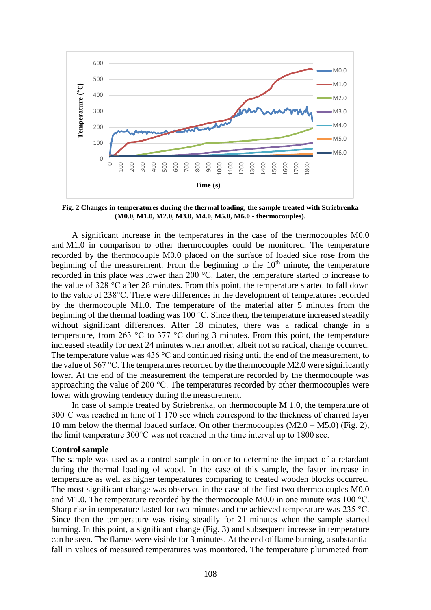

**Fig. 2 Changes in temperatures during the thermal loading, the sample treated with Striebrenka (M0.0, M1.0, M2.0, M3.0, M4.0, M5.0, M6.0 - thermocouples).**

A significant increase in the temperatures in the case of the thermocouples M0.0 and M1.0 in comparison to other thermocouples could be monitored. The temperature recorded by the thermocouple M0.0 placed on the surface of loaded side rose from the beginning of the measurement. From the beginning to the  $10<sup>th</sup>$  minute, the temperature recorded in this place was lower than 200 °C. Later, the temperature started to increase to the value of 328 °C after 28 minutes. From this point, the temperature started to fall down to the value of 238°C. There were differences in the development of temperatures recorded by the thermocouple M1.0. The temperature of the material after 5 minutes from the beginning of the thermal loading was 100 °C. Since then, the temperature increased steadily without significant differences. After 18 minutes, there was a radical change in a temperature, from 263 °C to 377 °C during 3 minutes. From this point, the temperature increased steadily for next 24 minutes when another, albeit not so radical, change occurred. The temperature value was 436 °C and continued rising until the end of the measurement, to the value of 567 °C. The temperatures recorded by the thermocouple M2.0 were significantly lower. At the end of the measurement the temperature recorded by the thermocouple was approaching the value of 200 °C. The temperatures recorded by other thermocouples were lower with growing tendency during the measurement.

In case of sample treated by Striebrenka, on thermocouple M 1.0, the temperature of 300°C was reached in time of 1 170 sec which correspond to the thickness of charred layer 10 mm below the thermal loaded surface. On other thermocouples  $(M2.0 - M5.0)$  (Fig. 2), the limit temperature 300°C was not reached in the time interval up to 1800 sec.

#### **Control sample**

The sample was used as a control sample in order to determine the impact of a retardant during the thermal loading of wood. In the case of this sample, the faster increase in temperature as well as higher temperatures comparing to treated wooden blocks occurred. The most significant change was observed in the case of the first two thermocouples M0.0 and M1.0. The temperature recorded by the thermocouple M0.0 in one minute was 100 °C. Sharp rise in temperature lasted for two minutes and the achieved temperature was 235 °C. Since then the temperature was rising steadily for 21 minutes when the sample started burning. In this point, a significant change (Fig. 3) and subsequent increase in temperature can be seen. The flames were visible for 3 minutes. At the end of flame burning, a substantial fall in values of measured temperatures was monitored. The temperature plummeted from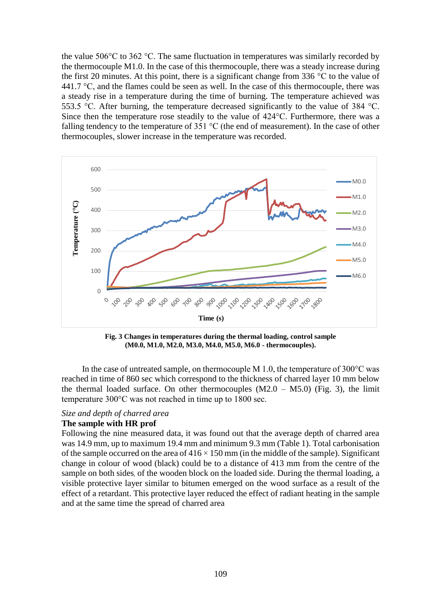the value 506 $\degree$ C to 362  $\degree$ C. The same fluctuation in temperatures was similarly recorded by the thermocouple M1.0. In the case of this thermocouple, there was a steady increase during the first 20 minutes. At this point, there is a significant change from 336  $\degree$ C to the value of 441.7  $\degree$ C, and the flames could be seen as well. In the case of this thermocouple, there was a steady rise in a temperature during the time of burning. The temperature achieved was 553.5 °C. After burning, the temperature decreased significantly to the value of 384 °C. Since then the temperature rose steadily to the value of 424°C. Furthermore, there was a falling tendency to the temperature of 351  $^{\circ}$ C (the end of measurement). In the case of other thermocouples, slower increase in the temperature was recorded.



**Fig. 3 Changes in temperatures during the thermal loading, control sample (M0.0, M1.0, M2.0, M3.0, M4.0, M5.0, M6.0 - thermocouples).**

In the case of untreated sample, on thermocouple M 1.0, the temperature of  $300^{\circ}$ C was reached in time of 860 sec which correspond to the thickness of charred layer 10 mm below the thermal loaded surface. On other thermocouples  $(M2.0 - M5.0)$  (Fig. 3), the limit temperature 300°C was not reached in time up to 1800 sec.

#### *Size and depth of charred area*

## **The sample with HR prof**

Following the nine measured data, it was found out that the average depth of charred area was 14.9 mm, up to maximum 19.4 mm and minimum 9.3 mm (Table 1). Total carbonisation of the sample occurred on the area of  $416 \times 150$  mm (in the middle of the sample). Significant change in colour of wood (black) could be to a distance of 413 mm from the centre of the sample on both sides, of the wooden block on the loaded side. During the thermal loading, a visible protective layer similar to bitumen emerged on the wood surface as a result of the effect of a retardant. This protective layer reduced the effect of radiant heating in the sample and at the same time the spread of charred area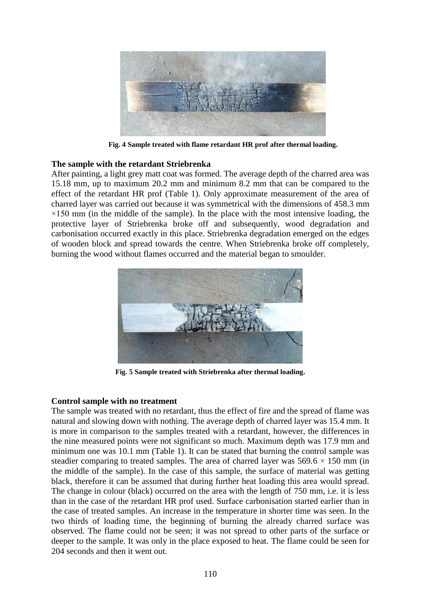

**Fig. 4 Sample treated with flame retardant HR prof after thermal loading.**

# **The sample with the retardant Striebrenka**

After painting, a light grey matt coat was formed. The average depth of the charred area was 15.18 mm, up to maximum 20.2 mm and minimum 8.2 mm that can be compared to the effect of the retardant HR prof (Table 1). Only approximate measurement of the area of charred layer was carried out because it was symmetrical with the dimensions of 458.3 mm  $\times$ 150 mm (in the middle of the sample). In the place with the most intensive loading, the protective layer of Striebrenka broke off and subsequently, wood degradation and carbonisation occurred exactly in this place. Striebrenka degradation emerged on the edges of wooden block and spread towards the centre. When Striebrenka broke off completely, burning the wood without flames occurred and the material began to smoulder.



**Fig. 5 Sample treated with Striebrenka after thermal loading.**

# **Control sample with no treatment**

The sample was treated with no retardant, thus the effect of fire and the spread of flame was natural and slowing down with nothing. The average depth of charred layer was 15.4 mm. It is more in comparison to the samples treated with a retardant, however, the differences in the nine measured points were not significant so much. Maximum depth was 17.9 mm and minimum one was 10.1 mm (Table 1). It can be stated that burning the control sample was steadier comparing to treated samples. The area of charred layer was  $569.6 \times 150$  mm (in the middle of the sample). In the case of this sample, the surface of material was getting black, therefore it can be assumed that during further heat loading this area would spread. The change in colour (black) occurred on the area with the length of 750 mm, i.e. it is less than in the case of the retardant HR prof used. Surface carbonisation started earlier than in the case of treated samples. An increase in the temperature in shorter time was seen. In the two thirds of loading time, the beginning of burning the already charred surface was observed. The flame could not be seen; it was not spread to other parts of the surface or deeper to the sample. It was only in the place exposed to heat. The flame could be seen for 204 seconds and then it went out.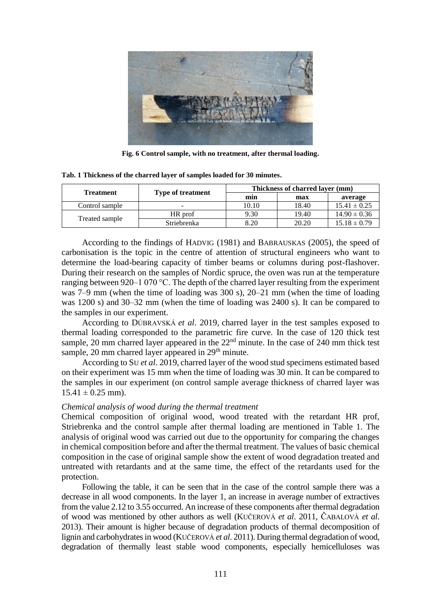

**Fig. 6 Control sample, with no treatment, after thermal loading.**

| <b>Treatment</b> |                          | Thickness of charred laver (mm) |       |                  |
|------------------|--------------------------|---------------------------------|-------|------------------|
|                  | <b>Type of treatment</b> | min                             | max   | average          |
| Control sample   | $\overline{\phantom{0}}$ | 10.10                           | 18.40 | $15.41 \pm 0.25$ |
| Treated sample   | HR prof                  | 9.30                            | 19.40 | $14.90 \pm 0.36$ |
|                  | Striebrenka              | 8.20                            | 20.20 | $15.18 \pm 0.79$ |

**Tab. 1 Thickness of the charred layer of samples loaded for 30 minutes.**

According to the findings of HADVIG (1981) and BABRAUSKAS (2005), the speed of carbonisation is the topic in the centre of attention of structural engineers who want to determine the load-bearing capacity of timber beams or columns during post-flashover. During their research on the samples of Nordic spruce, the oven was run at the temperature ranging between 920–1 070 °C. The depth of the charred layer resulting from the experiment was 7–9 mm (when the time of loading was 300 s), 20–21 mm (when the time of loading was 1200 s) and 30–32 mm (when the time of loading was 2400 s). It can be compared to the samples in our experiment.

According to DÚBRAVSKÁ *et al*. 2019, charred layer in the test samples exposed to thermal loading corresponded to the parametric fire curve. In the case of 120 thick test sample, 20 mm charred layer appeared in the  $22<sup>nd</sup>$  minute. In the case of 240 mm thick test sample,  $20 \text{ mm}$  charred layer appeared in  $29<sup>th</sup>$  minute.

According to SU *et al*. 2019, charred layer of the wood stud specimens estimated based on their experiment was 15 mm when the time of loading was 30 min. It can be compared to the samples in our experiment (on control sample average thickness of charred layer was  $15.41 \pm 0.25$  mm).

# *Chemical analysis of wood during the thermal treatment*

Chemical composition of original wood, wood treated with the retardant HR prof, Striebrenka and the control sample after thermal loading are mentioned in Table 1. The analysis of original wood was carried out due to the opportunity for comparing the changes in chemical composition before and after the thermal treatment. The values of basic chemical composition in the case of original sample show the extent of wood degradation treated and untreated with retardants and at the same time, the effect of the retardants used for the protection.

Following the table, it can be seen that in the case of the control sample there was a decrease in all wood components. In the layer 1, an increase in average number of extractives from the value 2.12 to 3.55 occurred. An increase of these components after thermal degradation of wood was mentioned by other authors as well (KUČEROVÁ *et al*. 2011, ČABALOVÁ *et al*. 2013). Their amount is higher because of degradation products of thermal decomposition of lignin and carbohydrates in wood (KUČEROVÁ *et al*. 2011). During thermal degradation of wood, degradation of thermally least stable wood components, especially hemicelluloses was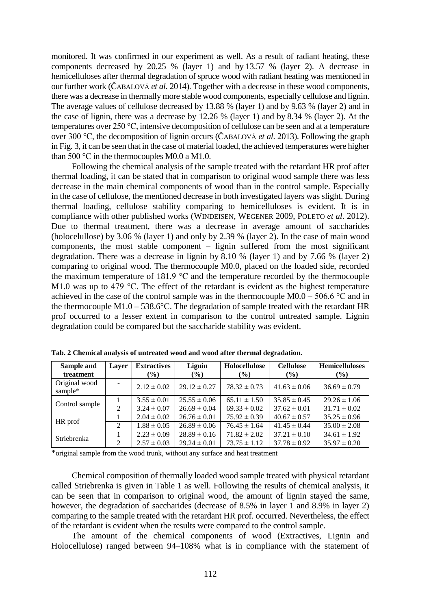monitored. It was confirmed in our experiment as well. As a result of radiant heating, these components decreased by 20.25 % (layer 1) and by 13.57 % (layer 2). A decrease in hemicelluloses after thermal degradation of spruce wood with radiant heating was mentioned in our further work (ČABALOVÁ *et al*. 2014). Together with a decrease in these wood components, there was a decrease in thermally more stable wood components, especially cellulose and lignin. The average values of cellulose decreased by 13.88 % (layer 1) and by 9.63 % (layer 2) and in the case of lignin, there was a decrease by 12.26 % (layer 1) and by 8.34 % (layer 2). At the temperatures over 250 °C, intensive decomposition of cellulose can be seen and at a temperature over 300 °C, the decomposition of lignin occurs (ČABALOVÁ *et al*. 2013). Following the graph in Fig. 3, it can be seen that in the case of material loaded, the achieved temperatures were higher than 500 °C in the thermocouples M0.0 a M1.0.

Following the chemical analysis of the sample treated with the retardant HR prof after thermal loading, it can be stated that in comparison to original wood sample there was less decrease in the main chemical components of wood than in the control sample. Especially in the case of cellulose, the mentioned decrease in both investigated layers was slight. During thermal loading, cellulose stability comparing to hemicelluloses is evident. It is in compliance with other published works (WINDEISEN, WEGENER 2009, POLETO *et al*. 2012). Due to thermal treatment, there was a decrease in average amount of saccharides (holocelullose) by 3.06 % (layer 1) and only by 2.39 % (layer 2). In the case of main wood components, the most stable component – lignin suffered from the most significant degradation. There was a decrease in lignin by 8.10 % (layer 1) and by 7.66 % (layer 2) comparing to original wood. The thermocouple M0.0, placed on the loaded side, recorded the maximum temperature of 181.9 °C and the temperature recorded by the thermocouple M1.0 was up to 479 °C. The effect of the retardant is evident as the highest temperature achieved in the case of the control sample was in the thermocouple  $M0.0 - 506.6$  °C and in the thermocouple M1.0 – 538.6°C. The degradation of sample treated with the retardant HR prof occurred to a lesser extent in comparison to the control untreated sample. Lignin degradation could be compared but the saccharide stability was evident.

| Sample and               | Layer | <b>Extractives</b> | Lignin           | Holocellulose    | <b>Cellulose</b> | <b>Hemicelluloses</b> |
|--------------------------|-------|--------------------|------------------|------------------|------------------|-----------------------|
| treatment                |       | $(\%)$             | $($ %)           | $(\%)$           | $($ %)           | $($ %)                |
| Original wood<br>sample* |       | $2.12 \pm 0.02$    | $29.12 \pm 0.27$ | $78.32 \pm 0.73$ | $41.63 \pm 0.06$ | $36.69 \pm 0.79$      |
| Control sample           |       | $3.55 \pm 0.01$    | $25.55 \pm 0.06$ | $65.11 \pm 1.50$ | $35.85 \pm 0.45$ | $29.26 \pm 1.06$      |
|                          | 2     | $3.24 \pm 0.07$    | $26.69 \pm 0.04$ | $69.33 \pm 0.02$ | $37.62 \pm 0.01$ | $31.71 \pm 0.02$      |
| HR prof                  |       | $2.04 \pm 0.02$    | $26.76 \pm 0.01$ | $75.92 \pm 0.39$ | $40.67 \pm 0.57$ | $35.25 \pm 0.96$      |
|                          | 2     | $1.88 \pm 0.05$    | $26.89 \pm 0.06$ | $76.45 \pm 1.64$ | $41.45 \pm 0.44$ | $35.00 \pm 2.08$      |
| Striebrenka              |       | $2.23 \pm 0.09$    | $28.89 \pm 0.16$ | $71.82 \pm 2.02$ | $37.21 \pm 0.10$ | $34.61 \pm 1.92$      |
|                          | 2     | $2.57 \pm 0.03$    | $29.24 \pm 0.01$ | $73.75 \pm 1.12$ | $37.78 \pm 0.92$ | $35.97 \pm 0.20$      |

**Tab. 2 Chemical analysis of untreated wood and wood after thermal degradation.**

\*original sample from the wood trunk, without any surface and heat treatment

Chemical composition of thermally loaded wood sample treated with physical retardant called Striebrenka is given in Table 1 as well. Following the results of chemical analysis, it can be seen that in comparison to original wood, the amount of lignin stayed the same, however, the degradation of saccharides (decrease of 8.5% in layer 1 and 8.9% in layer 2) comparing to the sample treated with the retardant HR prof. occurred. Nevertheless, the effect of the retardant is evident when the results were compared to the control sample.

The amount of the chemical components of wood (Extractives, Lignin and Holocellulose) ranged between 94–108% what is in compliance with the statement of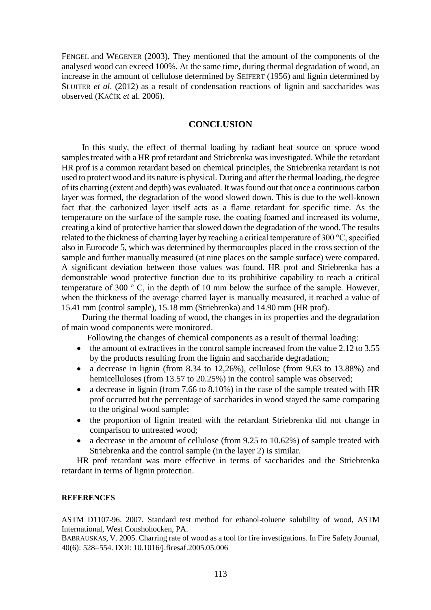FENGEL and WEGENER (2003), They mentioned that the amount of the components of the analysed wood can exceed 100%. At the same time, during thermal degradation of wood, an increase in the amount of cellulose determined by SEIFERT (1956) and lignin determined by SLUITER *et al*. (2012) as a result of condensation reactions of lignin and saccharides was observed (KAČÍK *et* al. 2006).

# **CONCLUSION**

In this study, the effect of thermal loading by radiant heat source on spruce wood samples treated with a HR prof retardant and Striebrenka was investigated. While the retardant HR prof is a common retardant based on chemical principles, the Striebrenka retardant is not used to protect wood and its nature is physical. During and after the thermal loading, the degree of its charring (extent and depth) was evaluated. It was found out that once a continuous carbon layer was formed, the degradation of the wood slowed down. This is due to the well-known fact that the carbonized layer itself acts as a flame retardant for specific time. As the temperature on the surface of the sample rose, the coating foamed and increased its volume, creating a kind of protective barrier that slowed down the degradation of the wood. The results related to the thickness of charring layer by reaching a critical temperature of 300 °C, specified also in Eurocode 5, which was determined by thermocouples placed in the cross section of the sample and further manually measured (at nine places on the sample surface) were compared. A significant deviation between those values was found. HR prof and Striebrenka has a demonstrable wood protective function due to its prohibitive capability to reach a critical temperature of 300 ° C, in the depth of 10 mm below the surface of the sample. However, when the thickness of the average charred layer is manually measured, it reached a value of 15.41 mm (control sample), 15.18 mm (Striebrenka) and 14.90 mm (HR prof).

During the thermal loading of wood, the changes in its properties and the degradation of main wood components were monitored.

Following the changes of chemical components as a result of thermal loading:

- $\bullet$  the amount of extractives in the control sample increased from the value 2.12 to 3.55 by the products resulting from the lignin and saccharide degradation;
- a decrease in lignin (from 8.34 to 12,26%), cellulose (from 9.63 to 13.88%) and hemicelluloses (from 13.57 to 20.25%) in the control sample was observed;
- a decrease in lignin (from 7.66 to 8.10%) in the case of the sample treated with HR prof occurred but the percentage of saccharides in wood stayed the same comparing to the original wood sample;
- the proportion of lignin treated with the retardant Striebrenka did not change in comparison to untreated wood;
- a decrease in the amount of cellulose (from 9.25 to 10.62%) of sample treated with Striebrenka and the control sample (in the layer 2) is similar.

HR prof retardant was more effective in terms of saccharides and the Striebrenka retardant in terms of lignin protection.

#### **REFERENCES**

ASTM D1107-96. 2007. Standard test method for ethanol-toluene solubility of wood, ASTM International, West Conshohocken, PA.

BABRAUSKAS, V. 2005. Charring rate of wood as a tool for fire investigations. In Fire Safety Journal, 40(6): 528-554. DOI: 10.1016/j.firesaf.2005.05.006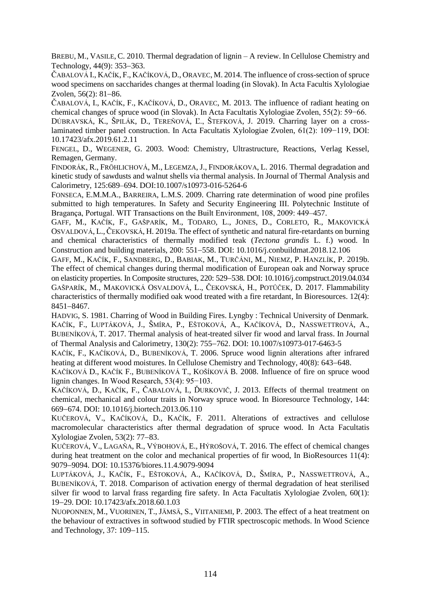BREBU, M., VASILE, C. 2010. Thermal degradation of lignin – A review. In Cellulose Chemistry and Technology,  $44(9)$ :  $353-363$ .

ČABALOVÁ I., KAČÍK, F., KAČÍKOVÁ, D., ORAVEC, M. 2014. The influence of cross-section of spruce wood specimens on saccharides changes at thermal loading (in Slovak). In Acta Facultis Xylologiae Zvolen,  $56(2)$ : 81-86.

ČABALOVÁ, I., KAČÍK, F., KAČÍKOVÁ, D., ORAVEC, M. 2013. The influence of radiant heating on chemical changes of spruce wood (in Slovak). In Acta Facultatis Xylologiae Zvolen, 55(2): 59−66. DÚBRAVSKÁ, K., ŠPILÁK, D., TEREŇOVÁ, Ľ., ŠTEFKOVÁ, J. 2019. Charring layer on a crosslaminated timber panel construction. In Acta Facultatis Xylologiae Zvolen, 61(2): 109−119, DOI: 10.17423/afx.2019.61.2.11

FENGEL, D., WEGENER, G. 2003. Wood: Chemistry, Ultrastructure, Reactions, Verlag Kessel, Remagen, Germany.

FINDORÁK, R., FRÖHLICHOVÁ, M., LEGEMZA, J., FINDORÁKOVA, L. 2016. Thermal degradation and kinetic study of sawdusts and walnut shells via thermal analysis. In Journal of Thermal Analysis and Calorimetry, 125:689–694. DOI:10.1007/s10973-016-5264-6

FONSECA, E.M.M.A., BARREIRA, L.M.S. 2009. Charring rate determination of wood pine profiles submitted to high temperatures. In Safety and Security Engineering III. Polytechnic Institute of Bragança, Portugal. WIT Transactions on the Built Environment, 108, 2009: 449–457.

GAFF, M., KAČÍK, F., GAŠPARÍK, M., TODARO, L., JONES, D., CORLETO, R., MAKOVICKÁ OSVALDOVÁ, L., ČEKOVSKÁ, H. 2019a. The effect of synthetic and natural fire-retardants on burning and chemical characteristics of thermally modified teak (*Tectona grandis* L. f.) wood. In Construction and building materials, 200: 551–558. [DOI: 10.1016/j.conbuildmat.2018.12.106](https://doi.org/10.1016/j.conbuildmat.2018.12.106)

GAFF, M., KAČÍK, F., SANDBERG, D., BABIAK, M., TURČÁNI, M., NIEMZ, P. HANZLÍK, P. 2019b. The effect of chemical changes during thermal modification of European oak and Norway spruce on elasticity properties. In Composite structures, 220: 529–538. DOI: 10.1016/j.compstruct.2019.04.034 GAŠPARÍK, M., MAKOVICKÁ OSVALDOVÁ, L., ČEKOVSKÁ, H., POTŮČEK, D. 2017. Flammability characteristics of thermally modified oak wood treated with a fire retardant, In Bioresources. 12(4): 8451-8467.

HADVIG, S. 1981. Charring of Wood in Building Fires. Lyngby : Technical University of Denmark. KAČÍK, F., LUPTÁKOVÁ, J., ŠMÍRA, P., EŠTOKOVÁ, A., KAČÍKOVÁ, D., NASSWETTROVÁ, A., BUBENÍKOVÁ, T. 2017. Thermal analysis of heat-treated silver fir wood and larval frass. In [Journal](https://link.springer.com/journal/10973)  [of Thermal Analysis and Calorimetry,](https://link.springer.com/journal/10973) 130(2): 755-762. DOI: 10.1007/s10973-017-6463-5

KAČÍK, F., KAČÍKOVÁ, D., BUBENÍKOVÁ, T. 2006. Spruce wood lignin alterations after infrared heating at different wood moistures. In Cellulose Chemistry and Technology, 40(8): 643–648.

KAČÍKOVÁ D., KAČÍK F., BUBENÍKOVÁ T., KOŠÍKOVÁ B. 2008. Influence of fire on spruce wood lignin changes. In Wood Research, 53(4): 95−103.

KAČÍKOVÁ, D., KAČÍK, F., ČABALOVÁ, I., ĎURKOVIČ, J. 2013. Effects of thermal treatment on chemical, mechanical and colour traits in Norway spruce wood. In Bioresource Technology, 144: 669674. DOI: 10.1016/j.biortech.2013.06.110

KUČEROVÁ, V., KAČÍKOVÁ, D., KAČÍK, F. 2011. Alterations of extractives and cellulose macromolecular characteristics after thermal degradation of spruce wood. In Acta Facultatis Xylologiae Zvolen,  $53(2)$ :  $77-83$ .

KUČEROVÁ, V., LAGAŇA, R., VÝBOHOVÁ, E., HÝROŠOVÁ, T. 2016. The effect of chemical changes during heat treatment on the color and mechanical properties of fir wood, In BioResources 11(4): 90799094. DOI: 10.15376/biores.11.4.9079-9094

LUPTÁKOVÁ, J., KAČÍK, F., EŠTOKOVÁ, A., KAČÍKOVÁ, D., ŠMÍRA, P., NASSWETTROVÁ, A., BUBENÍKOVÁ, T. 2018. Comparison of activation energy of thermal degradation of heat sterilised silver fir wood to larval frass regarding fire safety. In Acta Facultatis Xylologiae Zvolen, 60(1): 1929. DOI: 10.17423/afx.2018.60.1.03

NUOPONNEN, M., VUORINEN, T., JÄMSÄ, S., VIITANIEMI, P. 2003. The effect of a heat treatment on the behaviour of extractives in softwood studied by FTIR spectroscopic methods. In Wood Science and Technology,  $37:109-115$ .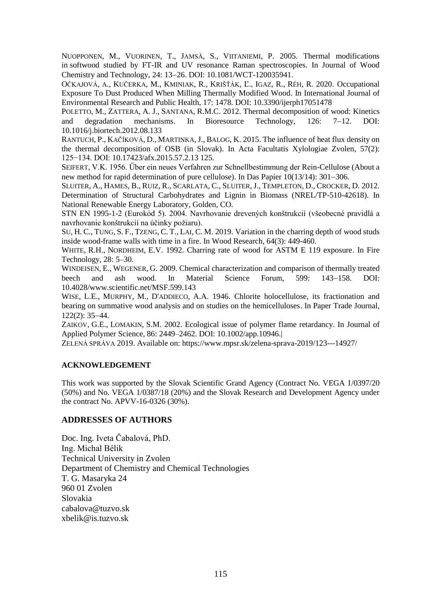NUOPPONEN, M., VUORINEN, T., JAMSÄ, S., VIITANIEMI, P. 2005. Thermal modifications in softwood studied by FT-IR and UV resonance Raman spectroscopies. In Journal of Wood Chemistry and Technology, 24: 13-26[. DOI: 10.1081/WCT-120035941](https://doi.org/10.1081/WCT-120035941).

OČKAJOVÁ, A., KUČERKA, M., KMINIAK, R., KRIŠŤÁK, Ľ., IGAZ, R., RÉH, R. 2020. Occupational Exposure To Dust Produced When Milling Thermally Modified Wood. In International Journal of Environmental Research and Public Health, 17: 1478. DOI: 10.3390/ijerph17051478

POLETTO, M., ZATTERA, A. J., SANTANA, R.M.C. 2012. Thermal decomposition of wood: Kinetics and degradation mechanisms. In Bioresource Technology,  $126: 7-12$ . DOI: 10.1016/j.biortech.2012.08.133

RANTUCH, P., KAČÍKOVÁ, D., MARTINKA, J., BALOG, K. 2015. The influence of heat flux density on the thermal decomposition of OSB (in Slovak). In Acta Facultatis Xylologiae Zvolen, 57(2): 125−134. DOI: 10.17423/afx.2015.57.2.13 125.

SEIFERT, V.K. 1956. Űber ein neues Verfahren zur Schnellbestimmung der Rein-Cellulose (About a new method for rapid determination of pure cellulose). In Das Papier  $10(13/14)$ : 301–306.

SLUITER, A., HAMES, B., RUIZ, R., SCARLATA, C., SLUITER, J., TEMPLETON, D., CROCKER, D. 2012. Determination of Structural Carbohydrates and Lignin in Biomass (NREL/TP-510-42618). In National Renewable Energy Laboratory, Golden, CO.

STN EN 1995-1-2 (Eurokód 5). 2004. Navrhovanie drevených konštrukcií (všeobecné pravidlá a navrhovanie konštrukcií na účinky požiaru).

SU, H. C., TUNG, S. F., TZENG, C. T., LAI, C. M. 2019. Variation in the charring depth of wood studs inside wood-frame walls with time in a fire. In Wood Research*,* 64(3): 449-460.

WHITE, R.H., NORDHEIM, E.V. 1992. Charring rate of wood for ASTM E 119 exposure. In Fire Technology, 28: 5–30.

WINDEISEN, E., WEGENER, G. 2009. Chemical characterization and comparison of thermally treated beech and ash wood. In Material Science Forum, 599: 143–158. DOI: 10.4028/www.scientific.net/MSF.599.143

WISE, L.E., MURPHY, M., D'ADDIECO, A.A. 1946. Chlorite holocellulose, its fractionation and bearing on summative wood analysis and on studies on the hemicelluloses. In Paper Trade Journal,  $122(2): 35 - 44.$ 

ZAIKOV, G.E., LOMAKIN, S.M. 2002. Ecological issue of polymer flame retardancy. In Journal of Applied Polymer Science, 86: 2449–2462. DOI: 10.1002/app.10946.|

ZELENÁ SPRÁVA 2019. Available on: https://www.mpsr.sk/zelena-sprava-2019/123---14927/

#### **ACKNOWLEDGEMENT**

This work was supported by the Slovak Scientific Grand Agency (Contract No. VEGA 1/0397/20 (50%) and No. VEGA 1/0387/18 (20%) and the Slovak Research and Development Agency under the contract No. APVV-16-0326 (30%).

### **ADDRESSES OF AUTHORS**

Doc. Ing. Iveta Čabalová, PhD. Ing. Michal Bélik Technical University in Zvolen Department of Chemistry and Chemical Technologies T. G. Masaryka 24 960 01 Zvolen Slovakia cabalova@tuzvo.sk xbelik@is.tuzvo.sk